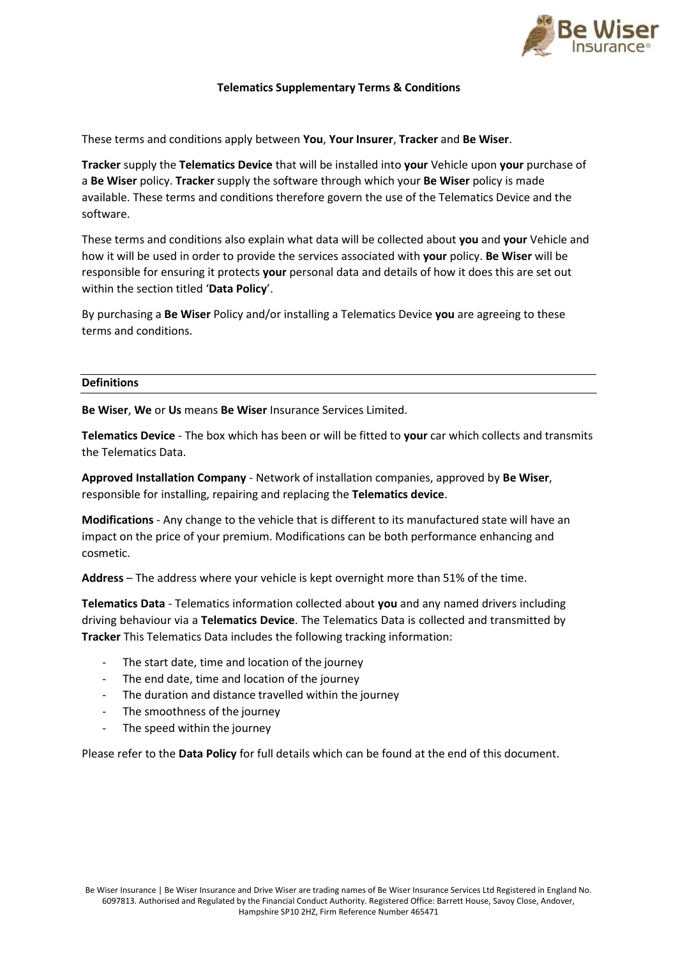

# **Telematics Supplementary Terms & Conditions**

These terms and conditions apply between **You**, **Your Insurer**, **Tracker** and **Be Wiser**.

**Tracker** supply the **Telematics Device** that will be installed into **your** Vehicle upon **your** purchase of a **Be Wiser** policy. **Tracker** supply the software through which your **Be Wiser** policy is made available. These terms and conditions therefore govern the use of the Telematics Device and the software.

These terms and conditions also explain what data will be collected about **you** and **your** Vehicle and how it will be used in order to provide the services associated with **your** policy. **Be Wiser** will be responsible for ensuring it protects **your** personal data and details of how it does this are set out within the section titled '**Data Policy**'.

By purchasing a **Be Wiser** Policy and/or installing a Telematics Device **you** are agreeing to these terms and conditions.

### **Definitions**

**Be Wiser**, **We** or **Us** means **Be Wiser** Insurance Services Limited.

**Telematics Device** - The box which has been or will be fitted to **your** car which collects and transmits the Telematics Data.

**Approved Installation Company** - Network of installation companies, approved by **Be Wiser**, responsible for installing, repairing and replacing the **Telematics device**.

**Modifications** - Any change to the vehicle that is different to its manufactured state will have an impact on the price of your premium. Modifications can be both performance enhancing and cosmetic.

**Address** – The address where your vehicle is kept overnight more than 51% of the time.

**Telematics Data** - Telematics information collected about **you** and any named drivers including driving behaviour via a **Telematics Device**. The Telematics Data is collected and transmitted by **Tracker** This Telematics Data includes the following tracking information:

- The start date, time and location of the journey
- The end date, time and location of the journey
- The duration and distance travelled within the journey
- The smoothness of the journey
- The speed within the journey

Please refer to the **Data Policy** for full details which can be found at the end of this document.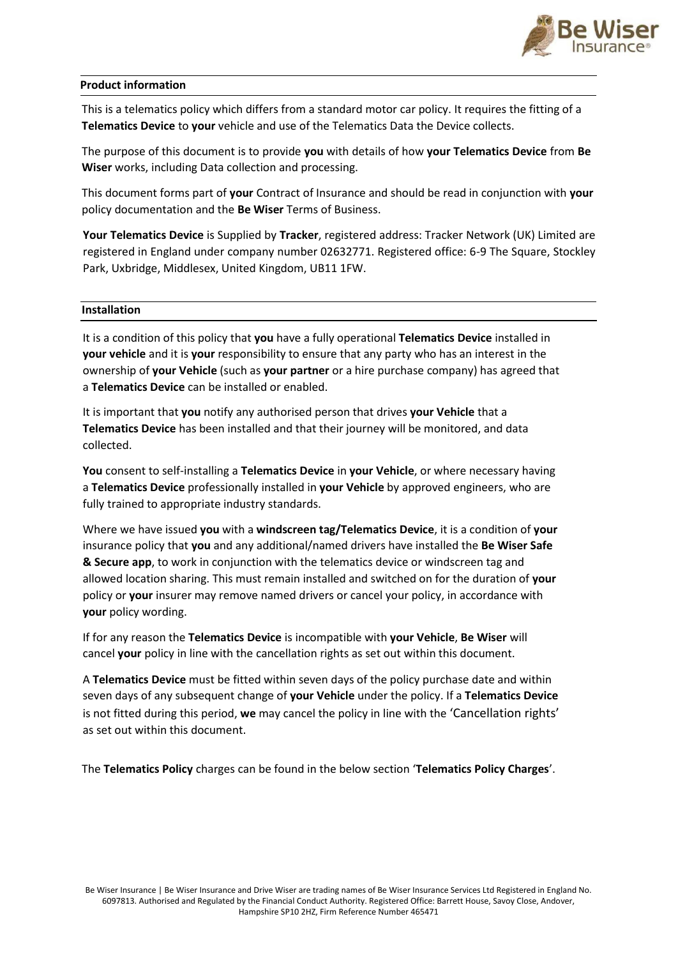

## **Product information**

This is a telematics policy which differs from a standard motor car policy. It requires the fitting of a **Telematics Device** to **your** vehicle and use of the Telematics Data the Device collects.

The purpose of this document is to provide **you** with details of how **your Telematics Device** from **Be Wiser** works, including Data collection and processing.

This document forms part of **your** Contract of Insurance and should be read in conjunction with **your** policy documentation and the **Be Wiser** Terms of Business.

**Your Telematics Device** is Supplied by **Tracker**, registered address: Tracker Network (UK) Limited are registered in England under company number 02632771. Registered office: 6-9 The Square, Stockley Park, Uxbridge, Middlesex, United Kingdom, UB11 1FW.

### **Installation**

It is a condition of this policy that **you** have a fully operational **Telematics Device** installed in **your vehicle** and it is **your** responsibility to ensure that any party who has an interest in the ownership of **your Vehicle** (such as **your partner** or a hire purchase company) has agreed that a **Telematics Device** can be installed or enabled.

It is important that **you** notify any authorised person that drives **your Vehicle** that a **Telematics Device** has been installed and that their journey will be monitored, and data collected.

**You** consent to self-installing a **Telematics Device** in **your Vehicle**, or where necessary having a **Telematics Device** professionally installed in **your Vehicle** by approved engineers, who are fully trained to appropriate industry standards.

Where we have issued **you** with a **windscreen tag/Telematics Device**, it is a condition of **your**  insurance policy that **you** and any additional/named drivers have installed the **Be Wiser Safe & Secure app**, to work in conjunction with the telematics device or windscreen tag and allowed location sharing. This must remain installed and switched on for the duration of **your**  policy or **your** insurer may remove named drivers or cancel your policy, in accordance with **your** policy wording.

If for any reason the **Telematics Device** is incompatible with **your Vehicle**, **Be Wiser** will cancel **your** policy in line with the cancellation rights as set out within this document.

A **Telematics Device** must be fitted within seven days of the policy purchase date and within seven days of any subsequent change of **your Vehicle** under the policy. If a **Telematics Device**  is not fitted during this period, **we** may cancel the policy in line with the 'Cancellation rights' as set out within this document.

The **Telematics Policy** charges can be found in the below section '**Telematics Policy Charges**'.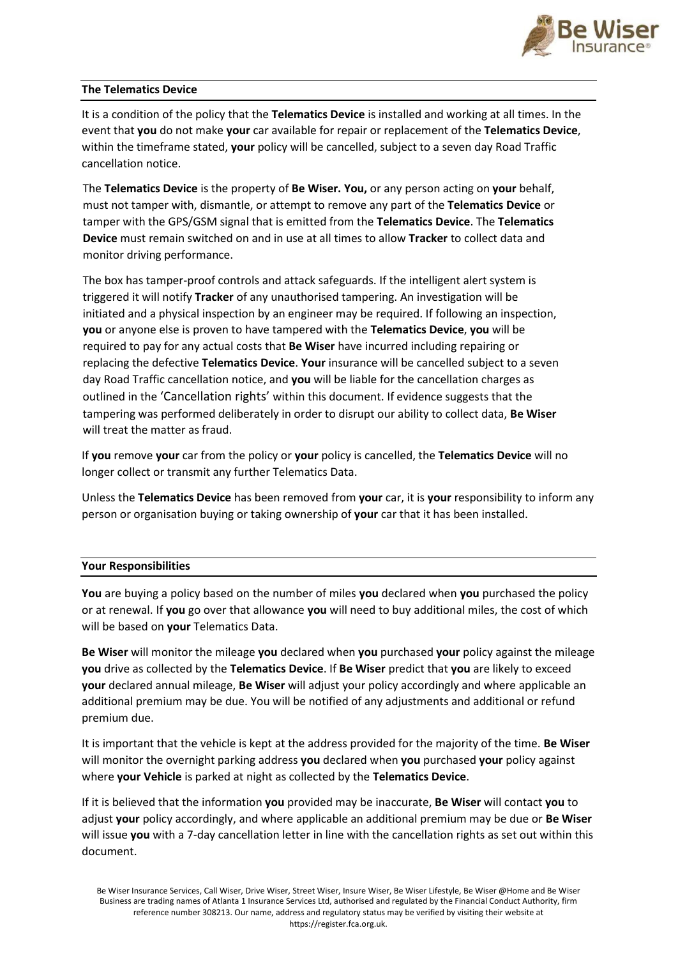

# **The Telematics Device**

It is a condition of the policy that the **Telematics Device** is installed and working at all times. In the event that **you** do not make **your** car available for repair or replacement of the **Telematics Device**, within the timeframe stated, **your** policy will be cancelled, subject to a seven day Road Traffic cancellation notice.

The **Telematics Device** is the property of **Be Wiser. You,** or any person acting on **your** behalf, must not tamper with, dismantle, or attempt to remove any part of the **Telematics Device** or tamper with the GPS/GSM signal that is emitted from the **Telematics Device**. The **Telematics Device** must remain switched on and in use at all times to allow **Tracker** to collect data and monitor driving performance.

The box has tamper-proof controls and attack safeguards. If the intelligent alert system is triggered it will notify **Tracker** of any unauthorised tampering. An investigation will be initiated and a physical inspection by an engineer may be required. If following an inspection, **you** or anyone else is proven to have tampered with the **Telematics Device**, **you** will be required to pay for any actual costs that **Be Wiser** have incurred including repairing or replacing the defective **Telematics Device**. **Your** insurance will be cancelled subject to a seven day Road Traffic cancellation notice, and **you** will be liable for the cancellation charges as outlined in the 'Cancellation rights' within this document. If evidence suggests that the tampering was performed deliberately in order to disrupt our ability to collect data, **Be Wiser**  will treat the matter as fraud.

If **you** remove **your** car from the policy or **your** policy is cancelled, the **Telematics Device** will no longer collect or transmit any further Telematics Data.

Unless the **Telematics Device** has been removed from **your** car, it is **your** responsibility to inform any person or organisation buying or taking ownership of **your** car that it has been installed.

# **Your Responsibilities**

**You** are buying a policy based on the number of miles **you** declared when **you** purchased the policy or at renewal. If **you** go over that allowance **you** will need to buy additional miles, the cost of which will be based on **your** Telematics Data.

**Be Wiser** will monitor the mileage **you** declared when **you** purchased **your** policy against the mileage **you** drive as collected by the **Telematics Device**. If **Be Wiser** predict that **you** are likely to exceed **your** declared annual mileage, **Be Wiser** will adjust your policy accordingly and where applicable an additional premium may be due. You will be notified of any adjustments and additional or refund premium due.

It is important that the vehicle is kept at the address provided for the majority of the time. **Be Wiser**  will monitor the overnight parking address **you** declared when **you** purchased **your** policy against where **your Vehicle** is parked at night as collected by the **Telematics Device**.

If it is believed that the information **you** provided may be inaccurate, **Be Wiser** will contact **you** to adjust **your** policy accordingly, and where applicable an additional premium may be due or **Be Wiser**  will issue **you** with a 7-day cancellation letter in line with the cancellation rights as set out within this document.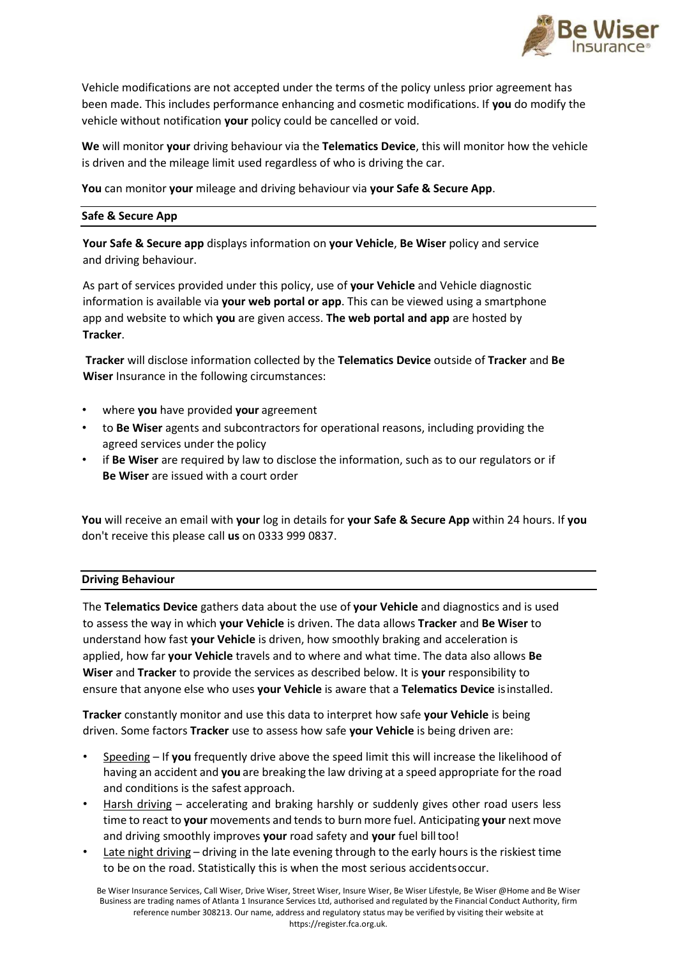

Vehicle modifications are not accepted under the terms of the policy unless prior agreement has been made. This includes performance enhancing and cosmetic modifications. If **you** do modify the vehicle without notification **your** policy could be cancelled or void.

**We** will monitor **your** driving behaviour via the **Telematics Device**, this will monitor how the vehicle is driven and the mileage limit used regardless of who is driving the car.

**You** can monitor **your** mileage and driving behaviour via **your Safe & Secure App**.

## **Safe & Secure App**

**Your Safe & Secure app** displays information on **your Vehicle**, **Be Wiser** policy and service and driving behaviour.

As part of services provided under this policy, use of **your Vehicle** and Vehicle diagnostic information is available via **your web portal or app**. This can be viewed using a smartphone app and website to which **you** are given access. **The web portal and app** are hosted by **Tracker**.

**Tracker** will disclose information collected by the **Telematics Device** outside of **Tracker** and **Be Wiser** Insurance in the following circumstances:

- where **you** have provided **your** agreement
- to **Be Wiser** agents and subcontractors for operational reasons, including providing the agreed services under the policy
- if **Be Wiser** are required by law to disclose the information, such as to our regulators or if **Be Wiser** are issued with a court order

**You** will receive an email with **your** log in details for **your Safe & Secure App** within 24 hours. If **you** don't receive this please call **us** on 0333 999 0837.

### **Driving Behaviour**

The **Telematics Device** gathers data about the use of **your Vehicle** and diagnostics and is used to assess the way in which **your Vehicle** is driven. The data allows **Tracker** and **Be Wiser** to understand how fast **your Vehicle** is driven, how smoothly braking and acceleration is applied, how far **your Vehicle** travels and to where and what time. The data also allows **Be Wiser** and **Tracker** to provide the services as described below. It is **your** responsibility to ensure that anyone else who uses **your Vehicle** is aware that a **Telematics Device** isinstalled.

**Tracker** constantly monitor and use this data to interpret how safe **your Vehicle** is being driven. Some factors **Tracker** use to assess how safe **your Vehicle** is being driven are:

- Speeding If **you** frequently drive above the speed limit this will increase the likelihood of having an accident and **you** are breaking the law driving at a speed appropriate forthe road and conditions is the safest approach.
- Harsh driving accelerating and braking harshly or suddenly gives other road users less time to react to your movements and tends to burn more fuel. Anticipating your next move and driving smoothly improves **your** road safety and **your** fuel billtoo!
- Late night driving driving in the late evening through to the early hours is the riskiest time to be on the road. Statistically this is when the most serious accidentsoccur.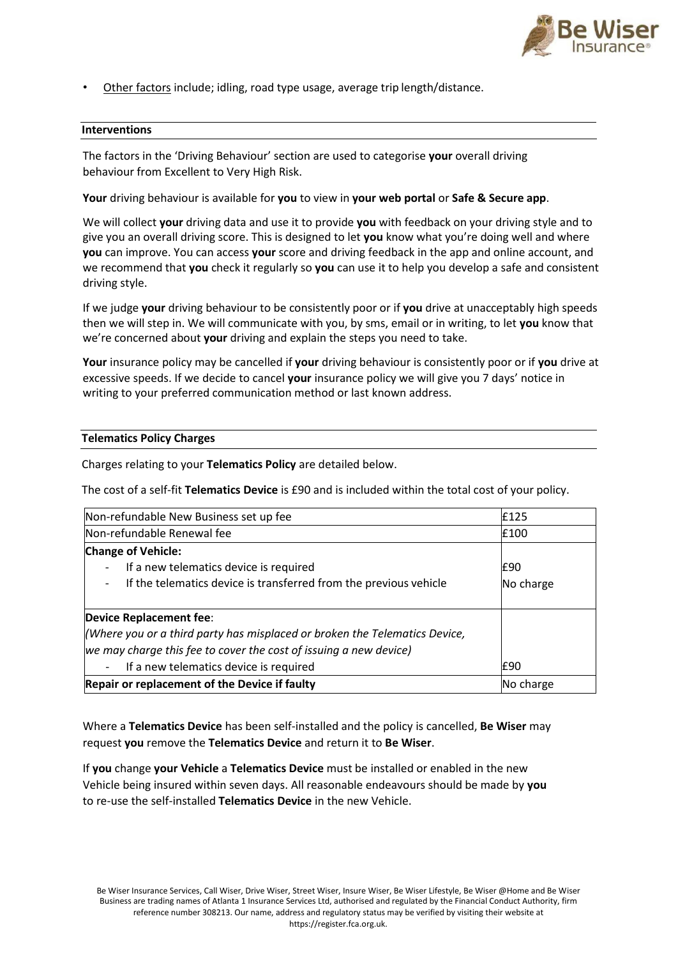

• Other factors include; idling, road type usage, average trip length/distance.

## **Interventions**

The factors in the 'Driving Behaviour' section are used to categorise **your** overall driving behaviour from Excellent to Very High Risk.

**Your** driving behaviour is available for **you** to view in **your web portal** or **Safe & Secure app**.

We will collect **your** driving data and use it to provide **you** with feedback on your driving style and to give you an overall driving score. This is designed to let **you** know what you're doing well and where **you** can improve. You can access **your** score and driving feedback in the app and online account, and we recommend that **you** check it regularly so **you** can use it to help you develop a safe and consistent driving style.

If we judge **your** driving behaviour to be consistently poor or if **you** drive at unacceptably high speeds then we will step in. We will communicate with you, by sms, email or in writing, to let **you** know that we're concerned about **your** driving and explain the steps you need to take.

**Your** insurance policy may be cancelled if **your** driving behaviour is consistently poor or if **you** drive at excessive speeds. If we decide to cancel **your** insurance policy we will give you 7 days' notice in writing to your preferred communication method or last known address.

### **Telematics Policy Charges**

Charges relating to your **Telematics Policy** are detailed below.

The cost of a self-fit **Telematics Device** is £90 and is included within the total cost of your policy.

| Non-refundable New Business set up fee                                     | £125      |
|----------------------------------------------------------------------------|-----------|
| Non-refundable Renewal fee                                                 | E100      |
| <b>Change of Vehicle:</b>                                                  |           |
| If a new telematics device is required<br>$\overline{\phantom{a}}$         | I£90      |
| If the telematics device is transferred from the previous vehicle          | No charge |
| Device Replacement fee:                                                    |           |
| (Where you or a third party has misplaced or broken the Telematics Device, |           |
| we may charge this fee to cover the cost of issuing a new device)          |           |
| If a new telematics device is required<br>$\overline{\phantom{a}}$         | £90       |
| Repair or replacement of the Device if faulty                              | No charge |

Where a **Telematics Device** has been self-installed and the policy is cancelled, **Be Wiser** may request **you** remove the **Telematics Device** and return it to **Be Wiser**.

If **you** change **your Vehicle** a **Telematics Device** must be installed or enabled in the new Vehicle being insured within seven days. All reasonable endeavours should be made by **you**  to re-use the self-installed **Telematics Device** in the new Vehicle.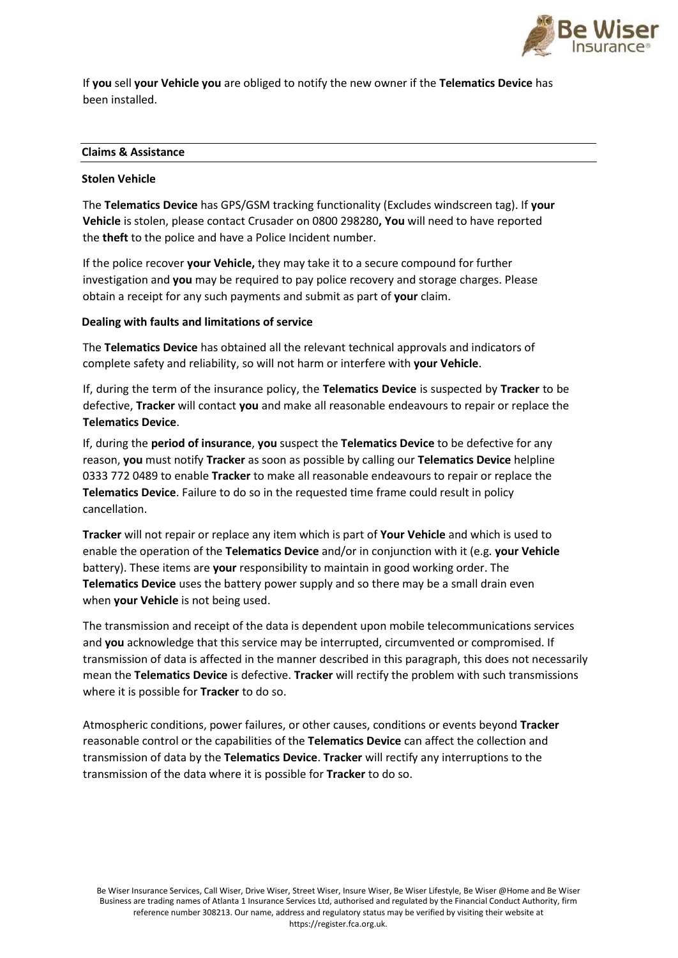

If **you** sell **your Vehicle you** are obliged to notify the new owner if the **Telematics Device** has been installed.

## **Claims & Assistance**

### **Stolen Vehicle**

The **Telematics Device** has GPS/GSM tracking functionality (Excludes windscreen tag). If **your Vehicle** is stolen, please contact Crusader on 0800 298280**, You** will need to have reported the **theft** to the police and have a Police Incident number.

If the police recover **your Vehicle,** they may take it to a secure compound for further investigation and **you** may be required to pay police recovery and storage charges. Please obtain a receipt for any such payments and submit as part of **your** claim.

### **Dealing with faults and limitations of service**

The **Telematics Device** has obtained all the relevant technical approvals and indicators of complete safety and reliability, so will not harm or interfere with **your Vehicle**.

If, during the term of the insurance policy, the **Telematics Device** is suspected by **Tracker** to be defective, **Tracker** will contact **you** and make all reasonable endeavours to repair or replace the **Telematics Device**.

If, during the **period of insurance**, **you** suspect the **Telematics Device** to be defective for any reason, **you** must notify **Tracker** as soon as possible by calling our **Telematics Device** helpline 0333 772 0489 to enable **Tracker** to make all reasonable endeavours to repair or replace the **Telematics Device**. Failure to do so in the requested time frame could result in policy cancellation.

**Tracker** will not repair or replace any item which is part of **Your Vehicle** and which is used to enable the operation of the **Telematics Device** and/or in conjunction with it (e.g. **your Vehicle**  battery). These items are **your** responsibility to maintain in good working order. The **Telematics Device** uses the battery power supply and so there may be a small drain even when **your Vehicle** is not being used.

The transmission and receipt of the data is dependent upon mobile telecommunications services and **you** acknowledge that this service may be interrupted, circumvented or compromised. If transmission of data is affected in the manner described in this paragraph, this does not necessarily mean the **Telematics Device** is defective. **Tracker** will rectify the problem with such transmissions where it is possible for **Tracker** to do so.

Atmospheric conditions, power failures, or other causes, conditions or events beyond **Tracker**  reasonable control or the capabilities of the **Telematics Device** can affect the collection and transmission of data by the **Telematics Device**. **Tracker** will rectify any interruptions to the transmission of the data where it is possible for **Tracker** to do so.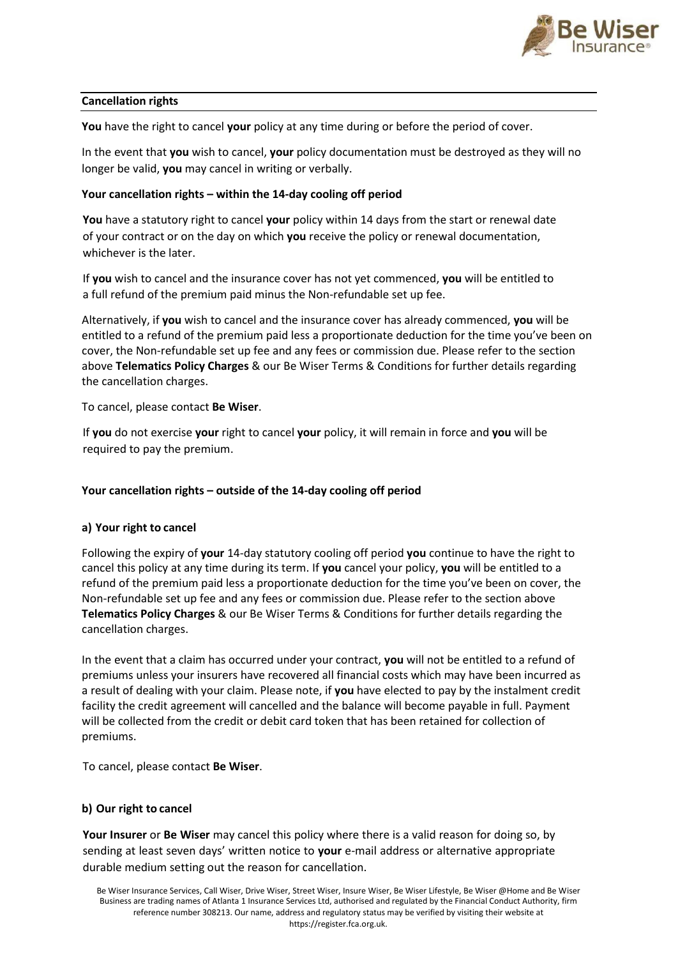

# **Cancellation rights**

**You** have the right to cancel **your** policy at any time during or before the period of cover.

In the event that **you** wish to cancel, **your** policy documentation must be destroyed as they will no longer be valid, **you** may cancel in writing or verbally.

### **Your cancellation rights – within the 14-day cooling off period**

**You** have a statutory right to cancel **your** policy within 14 days from the start or renewal date of your contract or on the day on which **you** receive the policy or renewal documentation, whichever is the later.

If **you** wish to cancel and the insurance cover has not yet commenced, **you** will be entitled to a full refund of the premium paid minus the Non-refundable set up fee.

Alternatively, if **you** wish to cancel and the insurance cover has already commenced, **you** will be entitled to a refund of the premium paid less a proportionate deduction for the time you've been on cover, the Non-refundable set up fee and any fees or commission due. Please refer to the section above **Telematics Policy Charges** & our Be Wiser Terms & Conditions for further details regarding the cancellation charges.

To cancel, please contact **Be Wiser**.

If **you** do not exercise **your** right to cancel **your** policy, it will remain in force and **you** will be required to pay the premium.

### **Your cancellation rights – outside of the 14-day cooling off period**

### **a) Your right to cancel**

Following the expiry of **your** 14-day statutory cooling off period **you** continue to have the right to cancel this policy at any time during its term. If **you** cancel your policy, **you** will be entitled to a refund of the premium paid less a proportionate deduction for the time you've been on cover, the Non-refundable set up fee and any fees or commission due. Please refer to the section above **Telematics Policy Charges** & our Be Wiser Terms & Conditions for further details regarding the cancellation charges.

In the event that a claim has occurred under your contract, **you** will not be entitled to a refund of premiums unless your insurers have recovered all financial costs which may have been incurred as a result of dealing with your claim. Please note, if **you** have elected to pay by the instalment credit facility the credit agreement will cancelled and the balance will become payable in full. Payment will be collected from the credit or debit card token that has been retained for collection of premiums.

To cancel, please contact **Be Wiser**.

### **b) Our right to cancel**

**Your Insurer** or **Be Wiser** may cancel this policy where there is a valid reason for doing so, by sending at least seven days' written notice to **your** e-mail address or alternative appropriate durable medium setting out the reason for cancellation.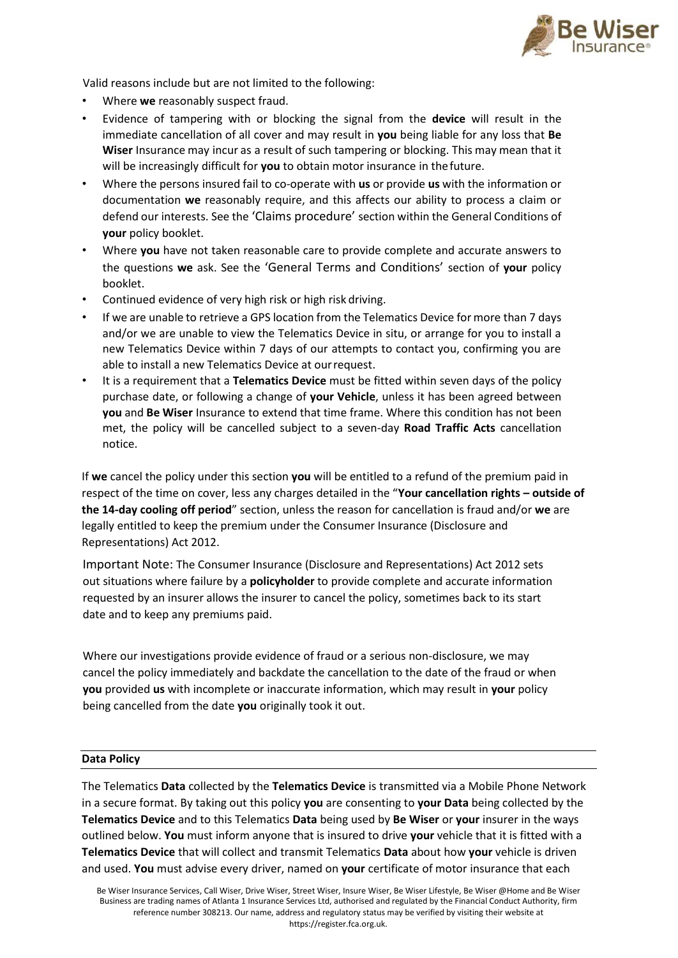

Valid reasons include but are not limited to the following:

- Where **we** reasonably suspect fraud.
- Evidence of tampering with or blocking the signal from the **device** will result in the immediate cancellation of all cover and may result in **you** being liable for any loss that **Be Wiser** Insurance may incur as a result of such tampering or blocking. This may mean that it will be increasingly difficult for **you** to obtain motor insurance in thefuture.
- Where the persons insured fail to co-operate with **us** or provide **us** with the information or documentation **we** reasonably require, and this affects our ability to process a claim or defend our interests. See the 'Claims procedure' section within the General Conditions of **your** policy booklet.
- Where **you** have not taken reasonable care to provide complete and accurate answers to the questions **we** ask. See the 'General Terms and Conditions' section of **your** policy booklet.
- Continued evidence of very high risk or high risk driving.
- If we are unable to retrieve a GPS location from the Telematics Device for more than 7 days and/or we are unable to view the Telematics Device in situ, or arrange for you to install a new Telematics Device within 7 days of our attempts to contact you, confirming you are able to install a new Telematics Device at ourrequest.
- It is a requirement that a **Telematics Device** must be fitted within seven days of the policy purchase date, or following a change of **your Vehicle**, unless it has been agreed between **you** and **Be Wiser** Insurance to extend that time frame. Where this condition has not been met, the policy will be cancelled subject to a seven-day **Road Traffic Acts** cancellation notice.

If **we** cancel the policy under this section **you** will be entitled to a refund of the premium paid in respect of the time on cover, less any charges detailed in the "**Your cancellation rights – outside of the 14-day cooling off period**" section, unless the reason for cancellation is fraud and/or **we** are legally entitled to keep the premium under the Consumer Insurance (Disclosure and Representations) Act 2012.

Important Note: The Consumer Insurance (Disclosure and Representations) Act 2012 sets out situations where failure by a **policyholder** to provide complete and accurate information requested by an insurer allows the insurer to cancel the policy, sometimes back to its start date and to keep any premiums paid.

Where our investigations provide evidence of fraud or a serious non-disclosure, we may cancel the policy immediately and backdate the cancellation to the date of the fraud or when **you** provided **us** with incomplete or inaccurate information, which may result in **your** policy being cancelled from the date **you** originally took it out.

# **Data Policy**

The Telematics **Data** collected by the **Telematics Device** is transmitted via a Mobile Phone Network in a secure format. By taking out this policy **you** are consenting to **your Data** being collected by the **Telematics Device** and to this Telematics **Data** being used by **Be Wiser** or **your** insurer in the ways outlined below. **You** must inform anyone that is insured to drive **your** vehicle that it is fitted with a **Telematics Device** that will collect and transmit Telematics **Data** about how **your** vehicle is driven and used. **You** must advise every driver, named on **your** certificate of motor insurance that each